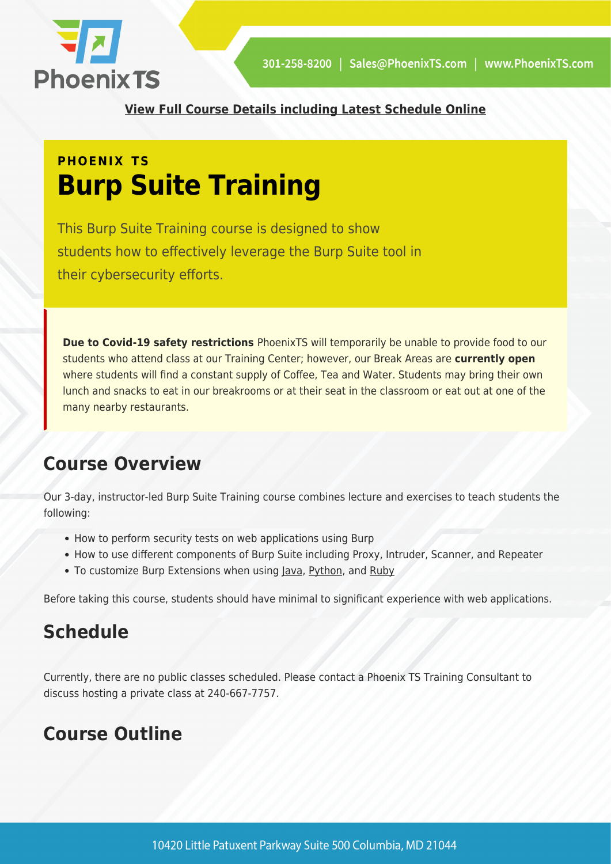

**[View Full Course Details including Latest Schedule Online](https://phoenixts.com/training-courses/burp-suite/)**

# **PHOENIX TS Burp Suite Training**

This Burp Suite Training course is designed to show students how to effectively leverage the Burp Suite tool in their cybersecurity efforts.

**Due to Covid-19 safety restrictions** PhoenixTS will temporarily be unable to provide food to our students who attend class at our Training Center; however, our Break Areas are **currently open** where students will find a constant supply of Coffee, Tea and Water. Students may bring their own lunch and snacks to eat in our breakrooms or at their seat in the classroom or eat out at one of the many nearby restaurants.

# **Course Overview**

Our 3-day, instructor-led Burp Suite Training course combines lecture and exercises to teach students the following:

- How to perform security tests on web applications using Burp
- How to use different components of Burp Suite including Proxy, Intruder, Scanner, and Repeater
- To customize Burp Extensions when using [Java,](https://phoenixts.com/training-courses/java-programming/) [Python,](https://phoenixts.com/training-courses/introduction-to-python-3/) and [Ruby](https://phoenixts.com/training-courses/ruby-programming/)

Before taking this course, students should have minimal to significant experience with web applications.

# **Schedule**

Currently, there are no public classes scheduled. Please contact a Phoenix TS Training Consultant to discuss hosting a private class at 240-667-7757.

# **Course Outline**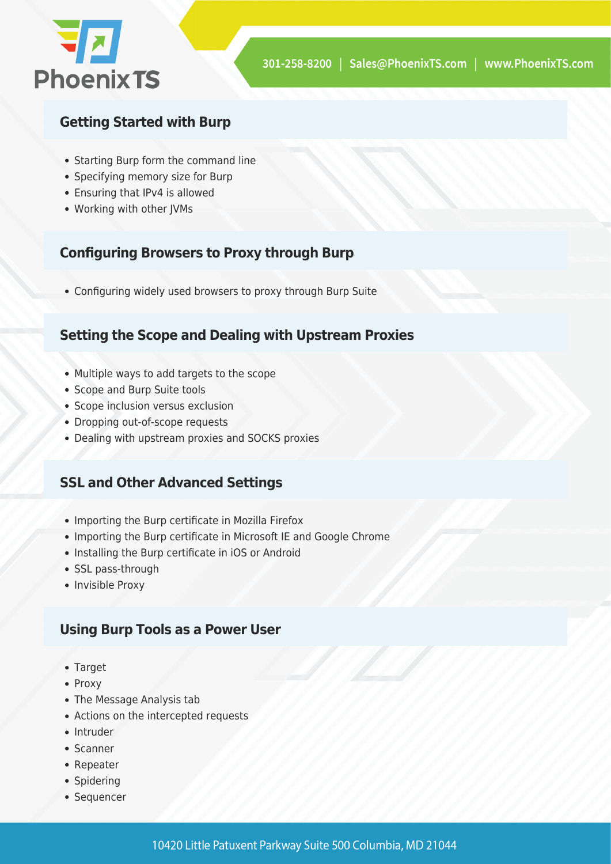

### **Getting Started with Burp**

- Starting Burp form the command line
- Specifying memory size for Burp
- Ensuring that IPv4 is allowed
- Working with other JVMs

#### **Configuring Browsers to Proxy through Burp**

Configuring widely used browsers to proxy through Burp Suite

#### **Setting the Scope and Dealing with Upstream Proxies**

- Multiple ways to add targets to the scope
- Scope and Burp Suite tools
- Scope inclusion versus exclusion
- Dropping out-of-scope requests
- Dealing with upstream proxies and SOCKS proxies

### **SSL and Other Advanced Settings**

- Importing the Burp certificate in Mozilla Firefox
- Importing the Burp certificate in Microsoft IE and Google Chrome
- Installing the Burp certificate in iOS or Android
- SSL pass-through
- Invisible Proxy

### **Using Burp Tools as a Power User**

- Target
- Proxy
- The Message Analysis tab
- Actions on the intercepted requests
- Intruder
- Scanner
- Repeater
- Spidering
- Sequencer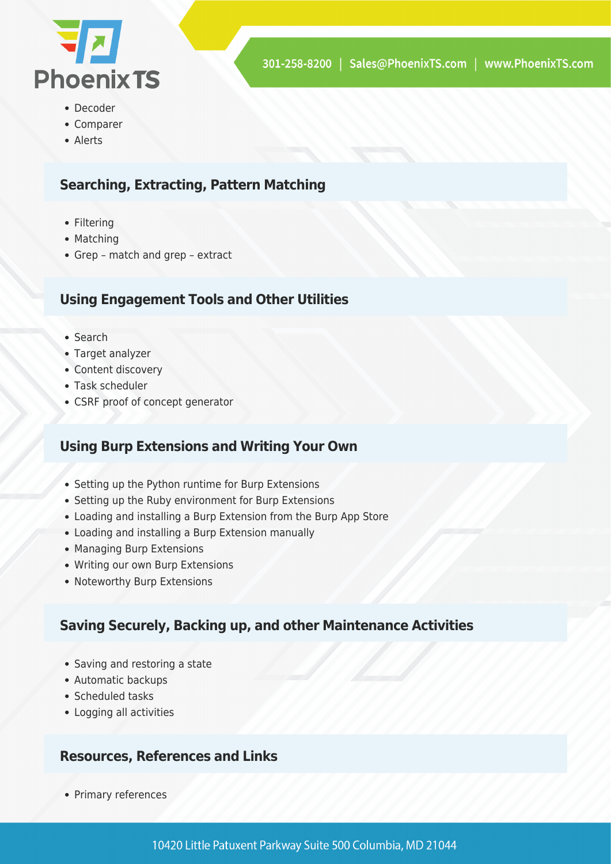

- Decoder
- Comparer
- Alerts

#### **Searching, Extracting, Pattern Matching**

- Filtering
- Matching
- Grep match and grep extract

#### **Using Engagement Tools and Other Utilities**

- Search
- Target analyzer
- Content discovery
- Task scheduler
- CSRF proof of concept generator

#### **Using Burp Extensions and Writing Your Own**

- Setting up the Python runtime for Burp Extensions
- Setting up the Ruby environment for Burp Extensions
- Loading and installing a Burp Extension from the Burp App Store
- Loading and installing a Burp Extension manually
- Managing Burp Extensions
- Writing our own Burp Extensions
- Noteworthy Burp Extensions

#### **Saving Securely, Backing up, and other Maintenance Activities**

- Saving and restoring a state
- Automatic backups
- Scheduled tasks
- Logging all activities

#### **Resources, References and Links**

• Primary references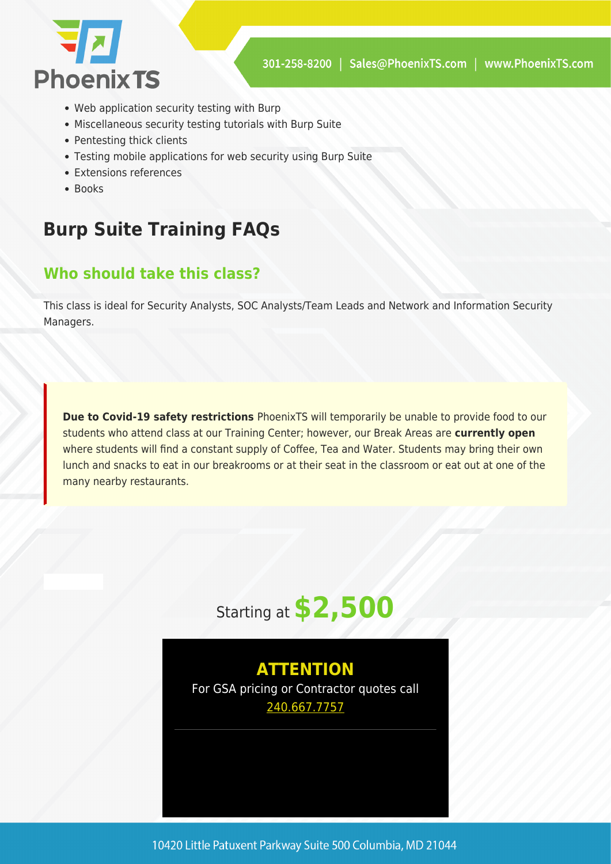

- Web application security testing with Burp
- Miscellaneous security testing tutorials with Burp Suite
- Pentesting thick clients
- Testing mobile applications for web security using Burp Suite
- Extensions references
- $B$

# **Burp Suite Training FAQs**

### **Who should take this class?**

This class is ideal for Security Analysts, SOC Analysts/Team Leads and Network and Information Security Managers.

**Due to Covid-19 safety restrictions** PhoenixTS will temporarily be unable to provide food to our students who attend class at our Training Center; however, our Break Areas are **currently open** where students will find a constant supply of Coffee, Tea and Water. Students may bring their own lunch and snacks to eat in our breakrooms or at their seat in the classroom or eat out at one of the many nearby restaurants.



## **ATTENTION**

For GSA pricing or Contractor quotes call [240.667.7757](#page--1-0)